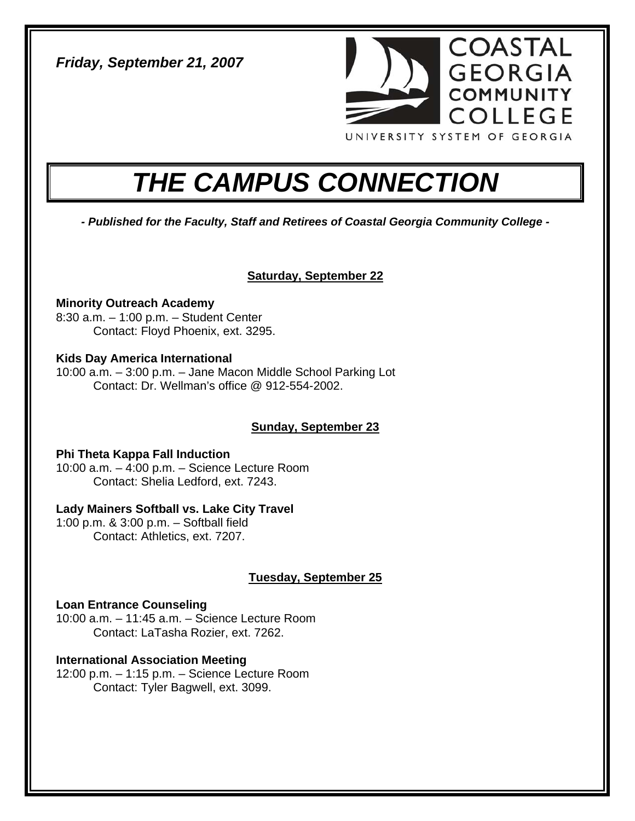*Friday, September 21, 2007* 



# *THE CAMPUS CONNECTION*

*- Published for the Faculty, Staff and Retirees of Coastal Georgia Community College -* 

# **Saturday, September 22**

**Minority Outreach Academy**  8:30 a.m. – 1:00 p.m. – Student Center Contact: Floyd Phoenix, ext. 3295.

#### **Kids Day America International**

10:00 a.m. – 3:00 p.m. – Jane Macon Middle School Parking Lot Contact: Dr. Wellman's office @ 912-554-2002.

# **Sunday, September 23**

# **Phi Theta Kappa Fall Induction**

10:00 a.m. – 4:00 p.m. – Science Lecture Room Contact: Shelia Ledford, ext. 7243.

# **Lady Mainers Softball vs. Lake City Travel**

1:00 p.m. & 3:00 p.m. – Softball field Contact: Athletics, ext. 7207.

# **Tuesday, September 25**

# **Loan Entrance Counseling**

10:00 a.m. – 11:45 a.m. – Science Lecture Room Contact: LaTasha Rozier, ext. 7262.

# **International Association Meeting**

12:00 p.m. – 1:15 p.m. – Science Lecture Room Contact: Tyler Bagwell, ext. 3099.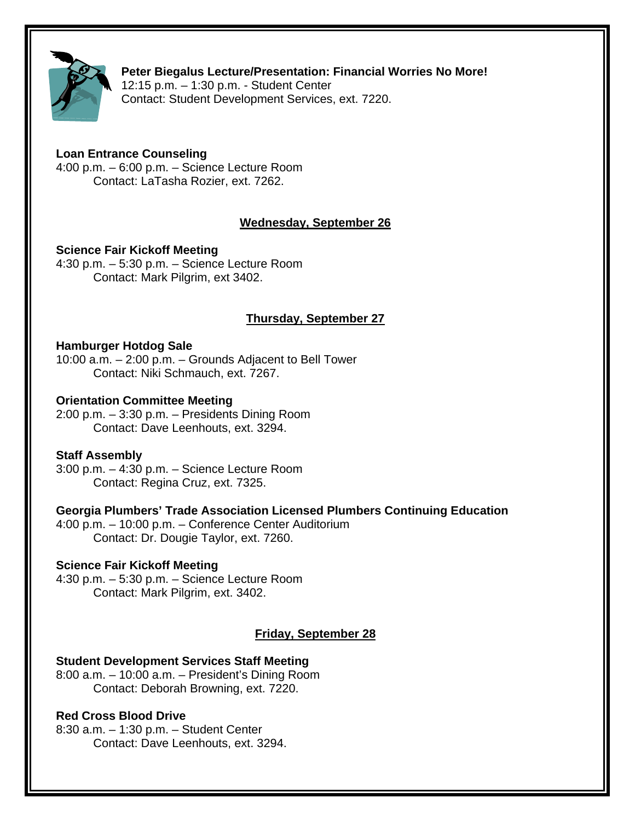

**Peter Biegalus Lecture/Presentation: Financial Worries No More!**  12:15 p.m. – 1:30 p.m. - Student Center

Contact: Student Development Services, ext. 7220.

# **Loan Entrance Counseling**

4:00 p.m. – 6:00 p.m. – Science Lecture Room Contact: LaTasha Rozier, ext. 7262.

# **Wednesday, September 26**

#### **Science Fair Kickoff Meeting**

4:30 p.m. – 5:30 p.m. – Science Lecture Room Contact: Mark Pilgrim, ext 3402.

# **Thursday, September 27**

#### **Hamburger Hotdog Sale**

10:00 a.m. – 2:00 p.m. – Grounds Adjacent to Bell Tower Contact: Niki Schmauch, ext. 7267.

#### **Orientation Committee Meeting**

2:00 p.m. – 3:30 p.m. – Presidents Dining Room Contact: Dave Leenhouts, ext. 3294.

#### **Staff Assembly**

3:00 p.m. – 4:30 p.m. – Science Lecture Room Contact: Regina Cruz, ext. 7325.

# **Georgia Plumbers' Trade Association Licensed Plumbers Continuing Education**

4:00 p.m. – 10:00 p.m. – Conference Center Auditorium Contact: Dr. Dougie Taylor, ext. 7260.

#### **Science Fair Kickoff Meeting**

4:30 p.m. – 5:30 p.m. – Science Lecture Room Contact: Mark Pilgrim, ext. 3402.

# **Friday, September 28**

# **Student Development Services Staff Meeting**

8:00 a.m. – 10:00 a.m. – President's Dining Room Contact: Deborah Browning, ext. 7220.

# **Red Cross Blood Drive**

8:30 a.m. – 1:30 p.m. – Student Center Contact: Dave Leenhouts, ext. 3294.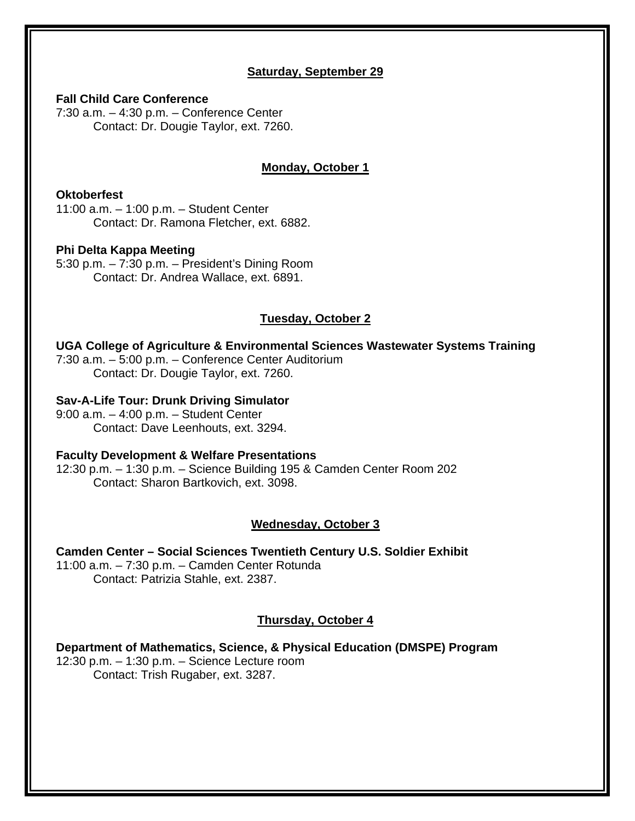#### **Saturday, September 29**

**Fall Child Care Conference** 

7:30 a.m. – 4:30 p.m. – Conference Center Contact: Dr. Dougie Taylor, ext. 7260.

# **Monday, October 1**

#### **Oktoberfest**

11:00 a.m. – 1:00 p.m. – Student Center Contact: Dr. Ramona Fletcher, ext. 6882.

#### **Phi Delta Kappa Meeting**

5:30 p.m. – 7:30 p.m. – President's Dining Room Contact: Dr. Andrea Wallace, ext. 6891.

# **Tuesday, October 2**

#### **UGA College of Agriculture & Environmental Sciences Wastewater Systems Training**

7:30 a.m. – 5:00 p.m. – Conference Center Auditorium Contact: Dr. Dougie Taylor, ext. 7260.

#### **Sav-A-Life Tour: Drunk Driving Simulator**

9:00 a.m. – 4:00 p.m. – Student Center Contact: Dave Leenhouts, ext. 3294.

#### **Faculty Development & Welfare Presentations**

12:30 p.m. – 1:30 p.m. – Science Building 195 & Camden Center Room 202 Contact: Sharon Bartkovich, ext. 3098.

#### **Wednesday, October 3**

**Camden Center – Social Sciences Twentieth Century U.S. Soldier Exhibit**  11:00 a.m. – 7:30 p.m. – Camden Center Rotunda Contact: Patrizia Stahle, ext. 2387.

#### **Thursday, October 4**

**Department of Mathematics, Science, & Physical Education (DMSPE) Program**  12:30 p.m. – 1:30 p.m. – Science Lecture room Contact: Trish Rugaber, ext. 3287.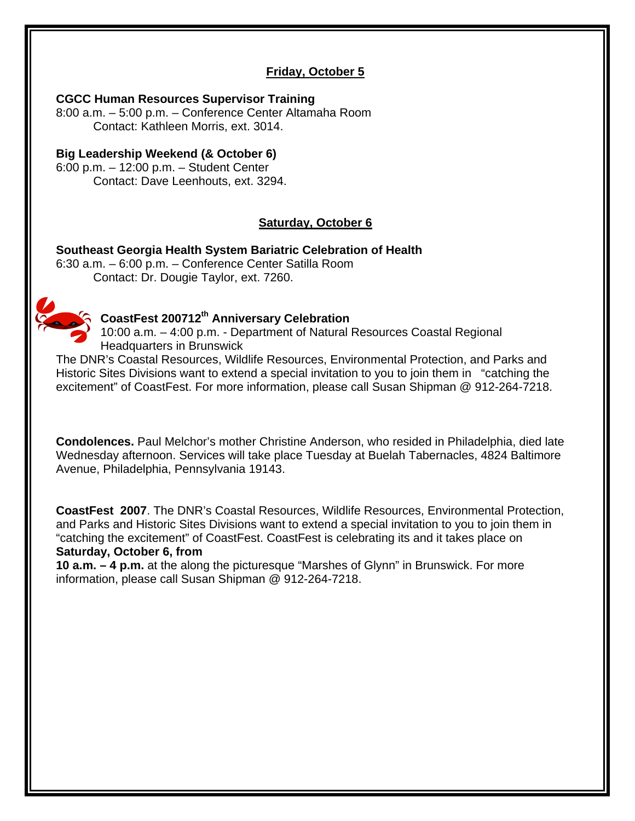# **Friday, October 5**

#### **CGCC Human Resources Supervisor Training**

8:00 a.m. – 5:00 p.m. – Conference Center Altamaha Room Contact: Kathleen Morris, ext. 3014.

#### **Big Leadership Weekend (& October 6)**

6:00 p.m. – 12:00 p.m. – Student Center Contact: Dave Leenhouts, ext. 3294.

# **Saturday, October 6**

**Southeast Georgia Health System Bariatric Celebration of Health**  6:30 a.m. – 6:00 p.m. – Conference Center Satilla Room Contact: Dr. Dougie Taylor, ext. 7260.



# **CoastFest 200712th Anniversary Celebration**

10:00 a.m. – 4:00 p.m. - Department of Natural Resources Coastal Regional Headquarters in Brunswick

The DNR's Coastal Resources, Wildlife Resources, Environmental Protection, and Parks and Historic Sites Divisions want to extend a special invitation to you to join them in "catching the excitement" of CoastFest. For more information, please call Susan Shipman @ 912-264-7218.

**Condolences.** Paul Melchor's mother Christine Anderson, who resided in Philadelphia, died late Wednesday afternoon. Services will take place Tuesday at Buelah Tabernacles, 4824 Baltimore Avenue, Philadelphia, Pennsylvania 19143.

**CoastFest 2007**. The DNR's Coastal Resources, Wildlife Resources, Environmental Protection, and Parks and Historic Sites Divisions want to extend a special invitation to you to join them in "catching the excitement" of CoastFest. CoastFest is celebrating its and it takes place on **Saturday, October 6, from** 

**10 a.m. – 4 p.m.** at the along the picturesque "Marshes of Glynn" in Brunswick. For more information, please call Susan Shipman @ 912-264-7218.